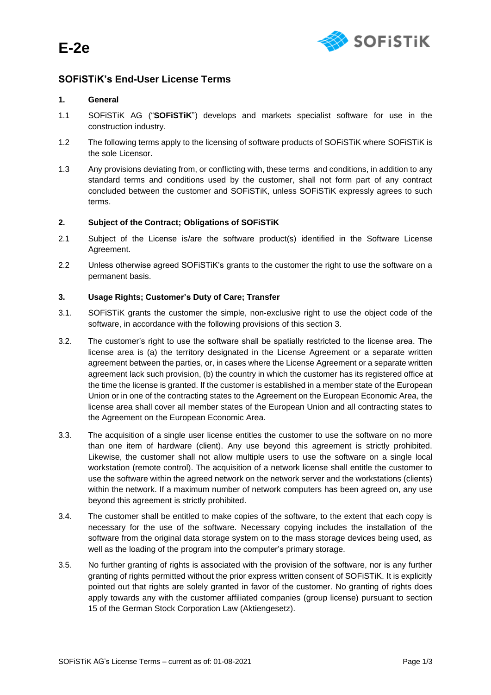

# **SOFiSTiK's End-User License Terms**

# **1. General**

- 1.1 SOFiSTiK AG ("**SOFiSTiK**") develops and markets specialist software for use in the construction industry.
- 1.2 The following terms apply to the licensing of software products of SOFiSTiK where SOFiSTiK is the sole Licensor.
- 1.3 Any provisions deviating from, or conflicting with, these terms and conditions, in addition to any standard terms and conditions used by the customer, shall not form part of any contract concluded between the customer and SOFiSTiK, unless SOFiSTiK expressly agrees to such terms.

# **2. Subject of the Contract; Obligations of SOFiSTiK**

- 2.1 Subject of the License is/are the software product(s) identified in the Software License Agreement.
- 2.2 Unless otherwise agreed SOFiSTiK's grants to the customer the right to use the software on a permanent basis.

#### **3. Usage Rights; Customer's Duty of Care; Transfer**

- 3.1. SOFiSTiK grants the customer the simple, non-exclusive right to use the object code of the software, in accordance with the following provisions of this section 3.
- 3.2. The customer's right to use the software shall be spatially restricted to the license area. The license area is (a) the territory designated in the License Agreement or a separate written agreement between the parties, or, in cases where the License Agreement or a separate written agreement lack such provision, (b) the country in which the customer has its registered office at the time the license is granted. If the customer is established in a member state of the European Union or in one of the contracting states to the Agreement on the European Economic Area, the license area shall cover all member states of the European Union and all contracting states to the Agreement on the European Economic Area.
- 3.3. The acquisition of a single user license entitles the customer to use the software on no more than one item of hardware (client). Any use beyond this agreement is strictly prohibited. Likewise, the customer shall not allow multiple users to use the software on a single local workstation (remote control). The acquisition of a network license shall entitle the customer to use the software within the agreed network on the network server and the workstations (clients) within the network. If a maximum number of network computers has been agreed on, any use beyond this agreement is strictly prohibited.
- 3.4. The customer shall be entitled to make copies of the software, to the extent that each copy is necessary for the use of the software. Necessary copying includes the installation of the software from the original data storage system on to the mass storage devices being used, as well as the loading of the program into the computer's primary storage.
- 3.5. No further granting of rights is associated with the provision of the software, nor is any further granting of rights permitted without the prior express written consent of SOFiSTiK. It is explicitly pointed out that rights are solely granted in favor of the customer. No granting of rights does apply towards any with the customer affiliated companies (group license) pursuant to section 15 of the German Stock Corporation Law (Aktiengesetz).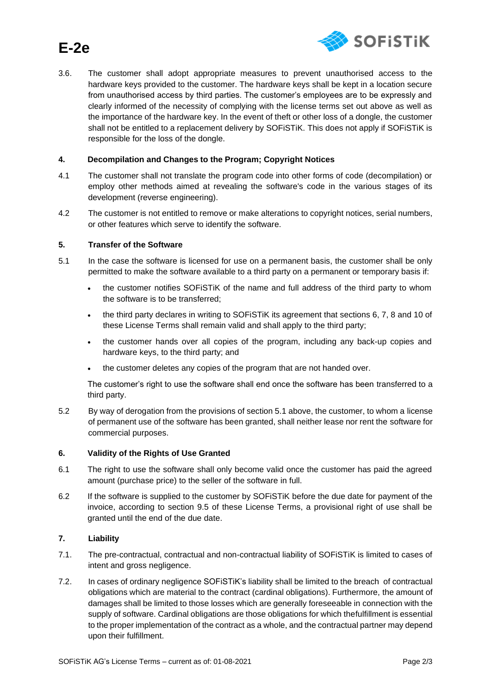

# **E-2e**

3.6. The customer shall adopt appropriate measures to prevent unauthorised access to the hardware keys provided to the customer. The hardware keys shall be kept in a location secure from unauthorised access by third parties. The customer's employees are to be expressly and clearly informed of the necessity of complying with the license terms set out above as well as the importance of the hardware key. In the event of theft or other loss of a dongle, the customer shall not be entitled to a replacement delivery by SOFiSTiK. This does not apply if SOFiSTiK is responsible for the loss of the dongle.

## **4. Decompilation and Changes to the Program; Copyright Notices**

- 4.1 The customer shall not translate the program code into other forms of code (decompilation) or employ other methods aimed at revealing the software's code in the various stages of its development (reverse engineering).
- 4.2 The customer is not entitled to remove or make alterations to copyright notices, serial numbers, or other features which serve to identify the software.

#### **5. Transfer of the Software**

- 5.1 In the case the software is licensed for use on a permanent basis, the customer shall be only permitted to make the software available to a third party on a permanent or temporary basis if:
	- the customer notifies SOFiSTiK of the name and full address of the third party to whom the software is to be transferred;
	- the third party declares in writing to SOFiSTiK its agreement that sections 6, 7, 8 and 10 of these License Terms shall remain valid and shall apply to the third party;
	- the customer hands over all copies of the program, including any back-up copies and hardware keys, to the third party; and
	- the customer deletes any copies of the program that are not handed over.

The customer's right to use the software shall end once the software has been transferred to a third party.

5.2 By way of derogation from the provisions of section 5.1 above, the customer, to whom a license of permanent use of the software has been granted, shall neither lease nor rent the software for commercial purposes.

#### **6. Validity of the Rights of Use Granted**

- 6.1 The right to use the software shall only become valid once the customer has paid the agreed amount (purchase price) to the seller of the software in full.
- 6.2 If the software is supplied to the customer by SOFiSTiK before the due date for payment of the invoice, according to section 9.5 of these License Terms, a provisional right of use shall be granted until the end of the due date.

# **7. Liability**

- 7.1. The pre-contractual, contractual and non-contractual liability of SOFiSTiK is limited to cases of intent and gross negligence.
- 7.2. In cases of ordinary negligence SOFiSTiK's liability shall be limited to the breach of contractual obligations which are material to the contract (cardinal obligations). Furthermore, the amount of damages shall be limited to those losses which are generally foreseeable in connection with the supply of software. Cardinal obligations are those obligations for which thefulfillment is essential to the proper implementation of the contract as a whole, and the contractual partner may depend upon their fulfillment.